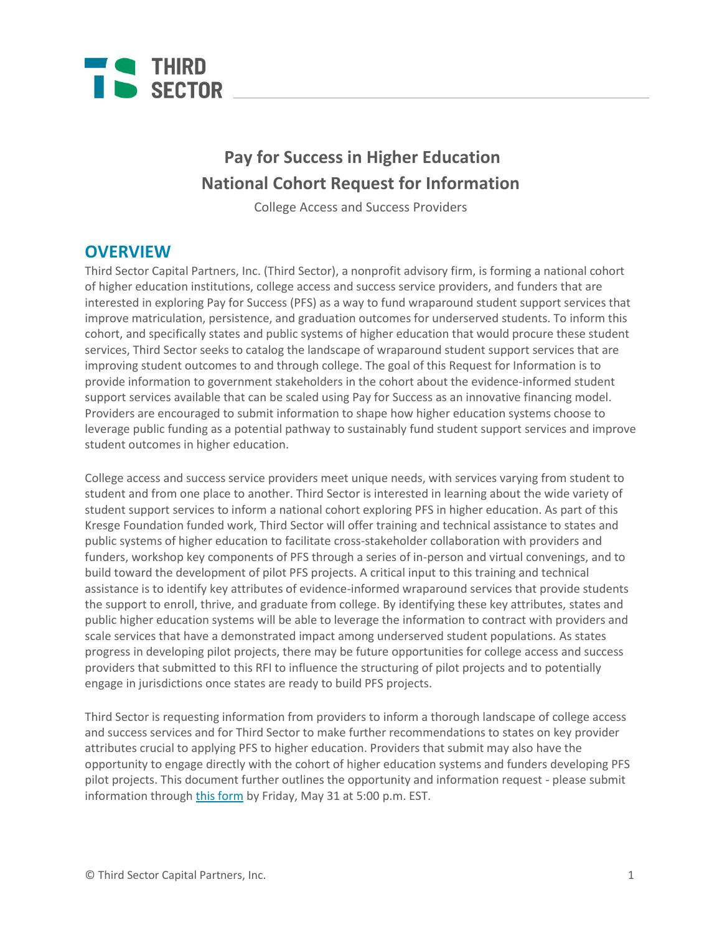

## **Pay for Success in Higher Education National Cohort Request for Information**

College Access and Success Providers

### **OVERVIEW**

Third Sector Capital Partners, Inc. (Third Sector), a nonprofit advisory firm, is forming a national cohort of higher education institutions, college access and success service providers, and funders that are interested in exploring Pay for Success (PFS) as a way to fund wraparound student support services that improve matriculation, persistence, and graduation outcomes for underserved students. To inform this cohort, and specifically states and public systems of higher education that would procure these student services, Third Sector seeks to catalog the landscape of wraparound student support services that are improving student outcomes to and through college. The goal of this Request for Information is to provide information to government stakeholders in the cohort about the evidence-informed student support services available that can be scaled using Pay for Success as an innovative financing model. Providers are encouraged to submit information to shape how higher education systems choose to leverage public funding as a potential pathway to sustainably fund student support services and improve student outcomes in higher education.

College access and success service providers meet unique needs, with services varying from student to student and from one place to another. Third Sector is interested in learning about the wide variety of student support services to inform a national cohort exploring PFS in higher education. As part of this Kresge Foundation funded work, Third Sector will offer training and technical assistance to states and public systems of higher education to facilitate cross-stakeholder collaboration with providers and funders, workshop key components of PFS through a series of in-person and virtual convenings, and to build toward the development of pilot PFS projects. A critical input to this training and technical assistance is to identify key attributes of evidence-informed wraparound services that provide students the support to enroll, thrive, and graduate from college. By identifying these key attributes, states and public higher education systems will be able to leverage the information to contract with providers and scale services that have a demonstrated impact among underserved student populations. As states progress in developing pilot projects, there may be future opportunities for college access and success providers that submitted to this RFI to influence the structuring of pilot projects and to potentially engage in jurisdictions once states are ready to build PFS projects.

Third Sector is requesting information from providers to inform a thorough landscape of college access and success services and for Third Sector to make further recommendations to states on key provider attributes crucial to applying PFS to higher education. Providers that submit may also have the opportunity to engage directly with the cohort of higher education systems and funders developing PFS pilot projects. This document further outlines the opportunity and information request - please submit information through [this form](https://docs.google.com/forms/d/1YMgIZBH3L76raMwtnI8dJ_EH1JFtkd9JKYUn11Xv9Mw/edit) by Friday, May 31 at 5:00 p.m. EST.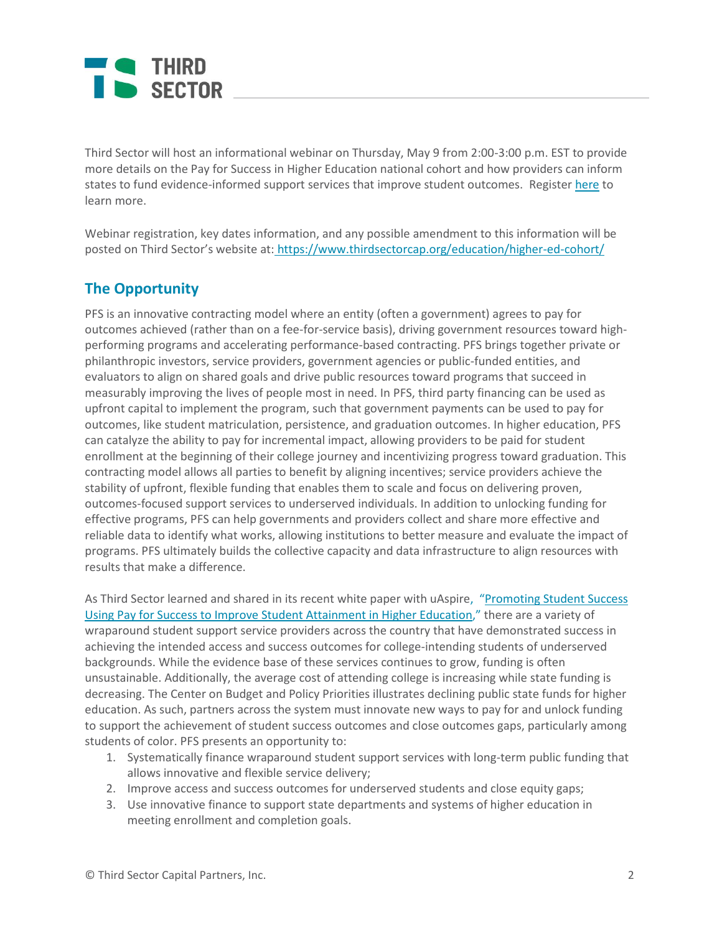## **THIRD** SECTOR

Third Sector will host an informational webinar on Thursday, May 9 from 2:00-3:00 p.m. EST to provide more details on the Pay for Success in Higher Education national cohort and how providers can inform states to fund evidence-informed support services that improve student outcomes. Registe[r here](https://zoom.us/meeting/register/6eb6abc513b722f77c24e00bf0acd2b8) to learn more.

Webinar registration, key dates information, and any possible amendment to this information will be posted on Third Sector's website at: <https://www.thirdsectorcap.org/education/higher-ed-cohort/>

### **The Opportunity**

PFS is an innovative contracting model where an entity (often a government) agrees to pay for outcomes achieved (rather than on a fee-for-service basis), driving government resources toward highperforming programs and accelerating performance-based contracting. PFS brings together private or philanthropic investors, service providers, government agencies or public-funded entities, and evaluators to align on shared goals and drive public resources toward programs that succeed in measurably improving the lives of people most in need. In PFS, third party financing can be used as upfront capital to implement the program, such that government payments can be used to pay for outcomes, like student matriculation, persistence, and graduation outcomes. In higher education, PFS can catalyze the ability to pay for incremental impact, allowing providers to be paid for student enrollment at the beginning of their college journey and incentivizing progress toward graduation. This contracting model allows all parties to benefit by aligning incentives; service providers achieve the stability of upfront, flexible funding that enables them to scale and focus on delivering proven, outcomes-focused support services to underserved individuals. In addition to unlocking funding for effective programs, PFS can help governments and providers collect and share more effective and reliable data to identify what works, allowing institutions to better measure and evaluate the impact of programs. PFS ultimately builds the collective capacity and data infrastructure to align resources with results that make a difference.

As Third Sector learned and shared in its recent white paper with uAspire, "[Promoting Student Success](https://www.thirdsectorcap.org/wp-content/uploads/2017/12/FINAL-Promoting-Student-Success-white-paper.pdf)  [Using Pay for Success to Improve Student Attainment in Higher Education](https://www.thirdsectorcap.org/wp-content/uploads/2017/12/FINAL-Promoting-Student-Success-white-paper.pdf)," there are a variety of wraparound student support service providers across the country that have demonstrated success in achieving the intended access and success outcomes for college-intending students of underserved backgrounds. While the evidence base of these services continues to grow, funding is often unsustainable. Additionally, the average cost of attending college is increasing while state funding is decreasing. The Center on Budget and Policy Priorities illustrates declining public state funds for higher education. As such, partners across the system must innovate new ways to pay for and unlock funding to support the achievement of student success outcomes and close outcomes gaps, particularly among students of color. PFS presents an opportunity to:

- 1. Systematically finance wraparound student support services with long-term public funding that allows innovative and flexible service delivery;
- 2. Improve access and success outcomes for underserved students and close equity gaps;
- 3. Use innovative finance to support state departments and systems of higher education in meeting enrollment and completion goals.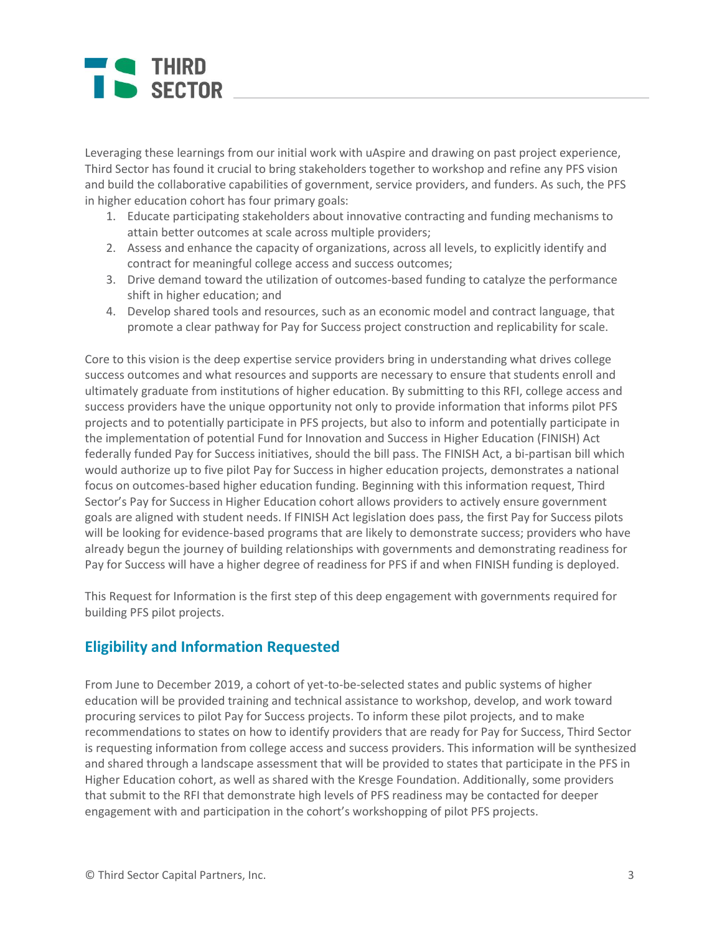

Leveraging these learnings from our initial work with uAspire and drawing on past project experience, Third Sector has found it crucial to bring stakeholders together to workshop and refine any PFS vision and build the collaborative capabilities of government, service providers, and funders. As such, the PFS in higher education cohort has four primary goals:

- 1. Educate participating stakeholders about innovative contracting and funding mechanisms to attain better outcomes at scale across multiple providers;
- 2. Assess and enhance the capacity of organizations, across all levels, to explicitly identify and contract for meaningful college access and success outcomes;
- 3. Drive demand toward the utilization of outcomes-based funding to catalyze the performance shift in higher education; and
- 4. Develop shared tools and resources, such as an economic model and contract language, that promote a clear pathway for Pay for Success project construction and replicability for scale.

Core to this vision is the deep expertise service providers bring in understanding what drives college success outcomes and what resources and supports are necessary to ensure that students enroll and ultimately graduate from institutions of higher education. By submitting to this RFI, college access and success providers have the unique opportunity not only to provide information that informs pilot PFS projects and to potentially participate in PFS projects, but also to inform and potentially participate in the implementation of potential Fund for Innovation and Success in Higher Education (FINISH) Act federally funded Pay for Success initiatives, should the bill pass. The FINISH Act, a bi-partisan bill which would authorize up to five pilot Pay for Success in higher education projects, demonstrates a national focus on outcomes-based higher education funding. Beginning with this information request, Third Sector's Pay for Success in Higher Education cohort allows providers to actively ensure government goals are aligned with student needs. If FINISH Act legislation does pass, the first Pay for Success pilots will be looking for evidence-based programs that are likely to demonstrate success; providers who have already begun the journey of building relationships with governments and demonstrating readiness for Pay for Success will have a higher degree of readiness for PFS if and when FINISH funding is deployed.

This Request for Information is the first step of this deep engagement with governments required for building PFS pilot projects.

#### **Eligibility and Information Requested**

From June to December 2019, a cohort of yet-to-be-selected states and public systems of higher education will be provided training and technical assistance to workshop, develop, and work toward procuring services to pilot Pay for Success projects. To inform these pilot projects, and to make recommendations to states on how to identify providers that are ready for Pay for Success, Third Sector is requesting information from college access and success providers. This information will be synthesized and shared through a landscape assessment that will be provided to states that participate in the PFS in Higher Education cohort, as well as shared with the Kresge Foundation. Additionally, some providers that submit to the RFI that demonstrate high levels of PFS readiness may be contacted for deeper engagement with and participation in the cohort's workshopping of pilot PFS projects.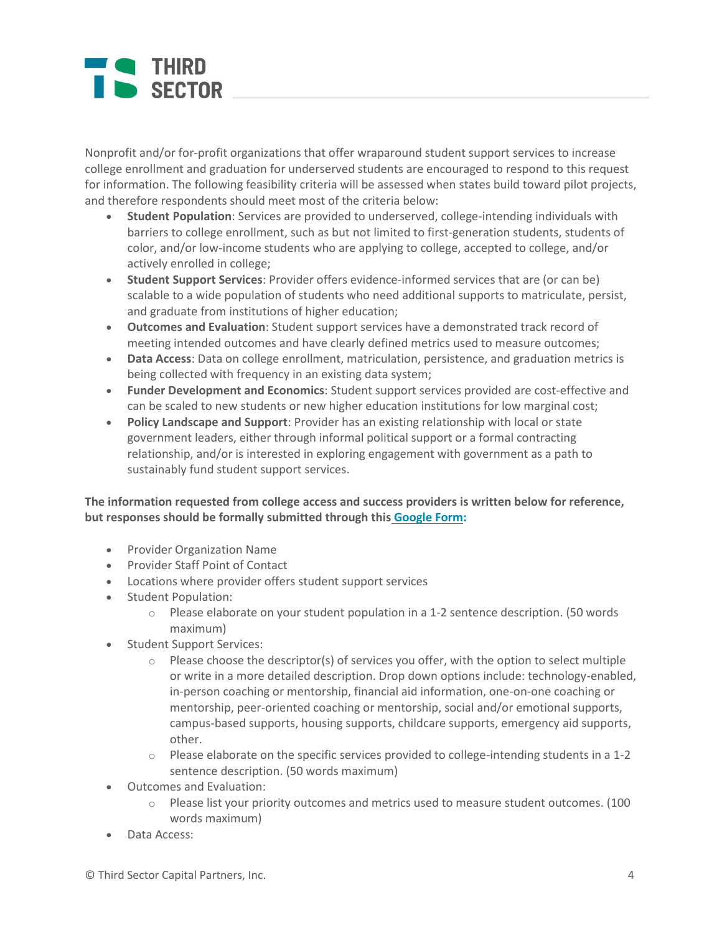# **THIRD**  $\overline{\phantom{a}}$  SECTOR

Nonprofit and/or for-profit organizations that offer wraparound student support services to increase college enrollment and graduation for underserved students are encouraged to respond to this request for information. The following feasibility criteria will be assessed when states build toward pilot projects, and therefore respondents should meet most of the criteria below:

- **Student Population**: Services are provided to underserved, college-intending individuals with barriers to college enrollment, such as but not limited to first-generation students, students of color, and/or low-income students who are applying to college, accepted to college, and/or actively enrolled in college;
- **Student Support Services**: Provider offers evidence-informed services that are (or can be) scalable to a wide population of students who need additional supports to matriculate, persist, and graduate from institutions of higher education;
- **Outcomes and Evaluation**: Student support services have a demonstrated track record of meeting intended outcomes and have clearly defined metrics used to measure outcomes;
- **Data Access**: Data on college enrollment, matriculation, persistence, and graduation metrics is being collected with frequency in an existing data system;
- **Funder Development and Economics**: Student support services provided are cost-effective and can be scaled to new students or new higher education institutions for low marginal cost;
- **Policy Landscape and Support**: Provider has an existing relationship with local or state government leaders, either through informal political support or a formal contracting relationship, and/or is interested in exploring engagement with government as a path to sustainably fund student support services.

#### **The information requested from college access and success providers is written below for reference, but responses should be formally submitted through this [Google Form:](https://forms.gle/xyp9BjyZbnKHmu1L7)**

- Provider Organization Name
- Provider Staff Point of Contact
- Locations where provider offers student support services
- Student Population:
	- $\circ$  Please elaborate on your student population in a 1-2 sentence description. (50 words maximum)
- Student Support Services:
	- o Please choose the descriptor(s) of services you offer, with the option to select multiple or write in a more detailed description. Drop down options include: technology-enabled, in-person coaching or mentorship, financial aid information, one-on-one coaching or mentorship, peer-oriented coaching or mentorship, social and/or emotional supports, campus-based supports, housing supports, childcare supports, emergency aid supports, other.
	- $\circ$  Please elaborate on the specific services provided to college-intending students in a 1-2 sentence description. (50 words maximum)
- Outcomes and Evaluation:
	- o Please list your priority outcomes and metrics used to measure student outcomes. (100 words maximum)
- Data Access: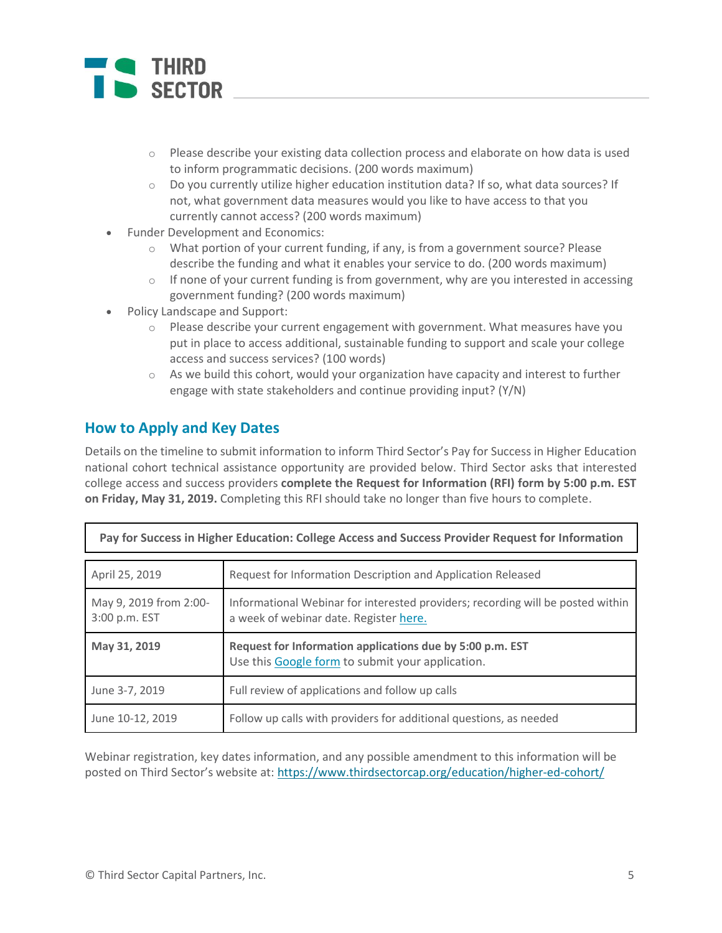

- o Please describe your existing data collection process and elaborate on how data is used to inform programmatic decisions. (200 words maximum)
- o Do you currently utilize higher education institution data? If so, what data sources? If not, what government data measures would you like to have access to that you currently cannot access? (200 words maximum)
- Funder Development and Economics:
	- $\circ$  What portion of your current funding, if any, is from a government source? Please describe the funding and what it enables your service to do. (200 words maximum)
	- $\circ$  If none of your current funding is from government, why are you interested in accessing government funding? (200 words maximum)
- Policy Landscape and Support:
	- $\circ$  Please describe your current engagement with government. What measures have you put in place to access additional, sustainable funding to support and scale your college access and success services? (100 words)
	- $\circ$  As we build this cohort, would your organization have capacity and interest to further engage with state stakeholders and continue providing input? (Y/N)

#### **How to Apply and Key Dates**

Details on the timeline to submit information to inform Third Sector's Pay for Success in Higher Education national cohort technical assistance opportunity are provided below. Third Sector asks that interested college access and success providers **complete the Request for Information (RFI) form by 5:00 p.m. EST on Friday, May 31, 2019.** Completing this RFI should take no longer than five hours to complete.

| Pay for Success in Higher Education: College Access and Success Provider Request for Information |                                                                                                                           |
|--------------------------------------------------------------------------------------------------|---------------------------------------------------------------------------------------------------------------------------|
|                                                                                                  |                                                                                                                           |
| April 25, 2019                                                                                   | Request for Information Description and Application Released                                                              |
| May 9, 2019 from 2:00-<br>3:00 p.m. EST                                                          | Informational Webinar for interested providers; recording will be posted within<br>a week of webinar date. Register here. |
|                                                                                                  |                                                                                                                           |
| May 31, 2019                                                                                     | Request for Information applications due by 5:00 p.m. EST<br>Use this Google form to submit your application.             |
| June 3-7, 2019                                                                                   | Full review of applications and follow up calls                                                                           |

Webinar registration, key dates information, and any possible amendment to this information will be posted on Third Sector's website at: <https://www.thirdsectorcap.org/education/higher-ed-cohort/>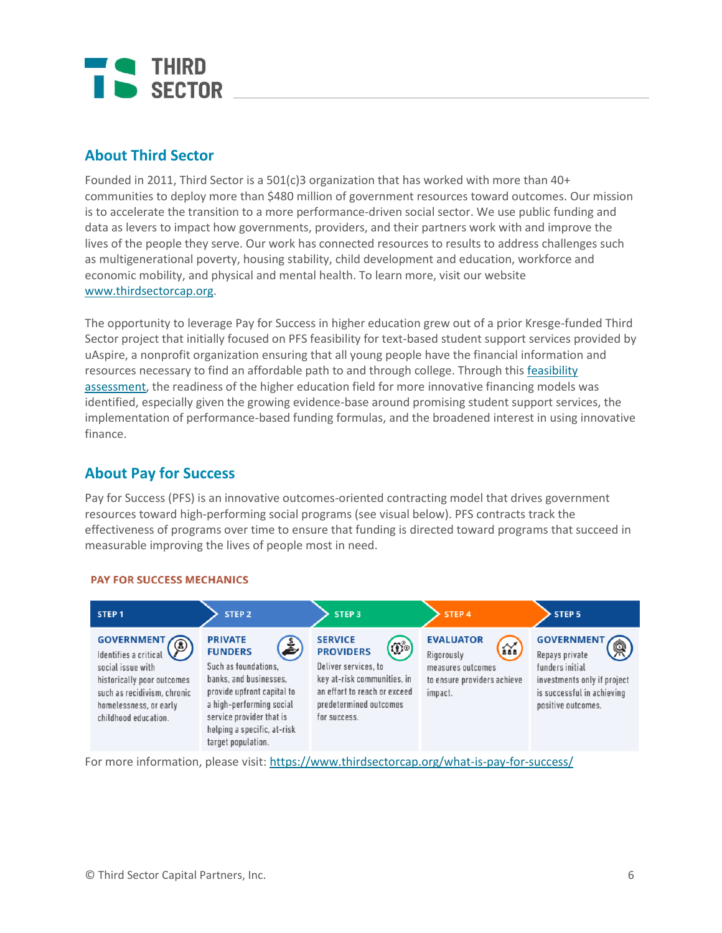

#### **About Third Sector**

Founded in 2011, Third Sector is a 501(c)3 organization that has worked with more than 40+ communities to deploy more than \$480 million of government resources toward outcomes. Our mission is to accelerate the transition to a more performance-driven social sector. We use public funding and data as levers to impact how governments, providers, and their partners work with and improve the lives of the people they serve. Our work has connected resources to results to address challenges such as multigenerational poverty, housing stability, child development and education, workforce and economic mobility, and physical and mental health. To learn more, visit our websit[e](http://www.thirdsectorcap.org/) [www.thirdsectorcap.org.](http://www.thirdsectorcap.org/)

The opportunity to leverage Pay for Success in higher education grew out of a prior Kresge-funded Third Sector project that initially focused on PFS feasibility for text-based student support services provided by uAspire, a nonprofit organization ensuring that all young people have the financial information and resources necessary to find an affordable path to and through college. Through this [feasibility](https://www.thirdsectorcap.org/promoting-student-success-using-pay-for-success-to-improve-student-attainment-in-higher-education/)  [assessment,](https://www.thirdsectorcap.org/promoting-student-success-using-pay-for-success-to-improve-student-attainment-in-higher-education/) the readiness of the higher education field for more innovative financing models was identified, especially given the growing evidence-base around promising student support services, the implementation of performance-based funding formulas, and the broadened interest in using innovative finance.

#### **About Pay for Success**

Pay for Success (PFS) is an innovative outcomes-oriented contracting model that drives government resources toward high-performing social programs (see visual below). PFS contracts track the effectiveness of programs over time to ensure that funding is directed toward programs that succeed in measurable improving the lives of people most in need.



#### **PAY FOR SUCCESS MECHANICS**

For more information, please visit[: https://www.thirdsectorcap.org/what-is-pay-for-success/](https://www.thirdsectorcap.org/what-is-pay-for-success/)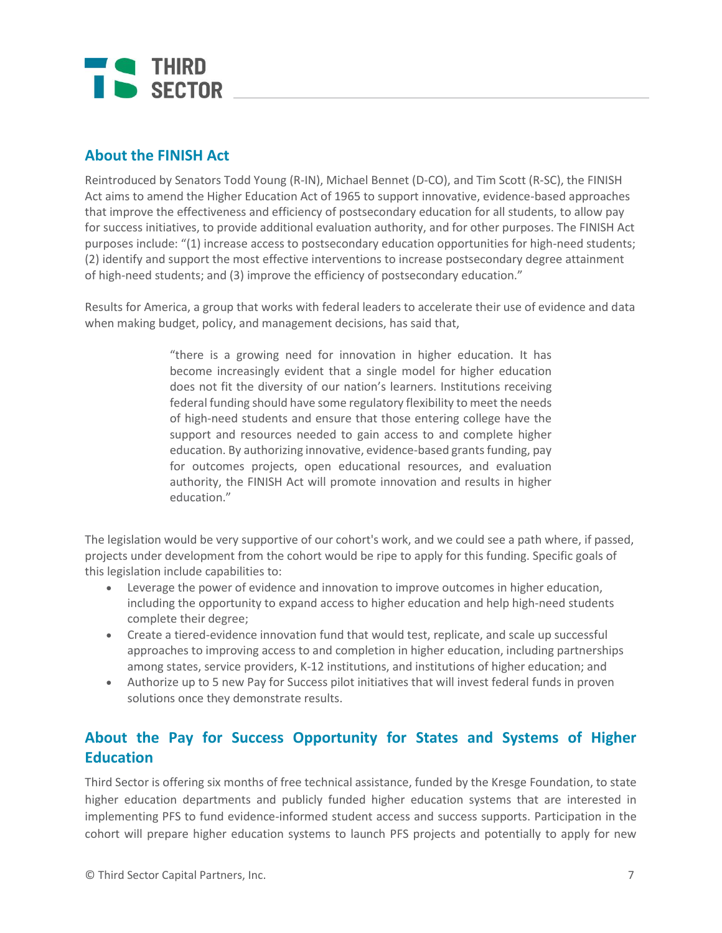

#### **About the FINISH Act**

Reintroduced by Senators Todd Young (R-IN), Michael Bennet (D-CO), and Tim Scott (R-SC), the FINISH Act aims to amend the Higher Education Act of 1965 to support innovative, evidence-based approaches that improve the effectiveness and efficiency of postsecondary education for all students, to allow pay for success initiatives, to provide additional evaluation authority, and for other purposes. The FINISH Act purposes include: "(1) increase access to postsecondary education opportunities for high-need students; (2) identify and support the most effective interventions to increase postsecondary degree attainment of high-need students; and (3) improve the efficiency of postsecondary education."

Results for America, a group that works with federal leaders to accelerate their use of evidence and data when making budget, policy, and management decisions, has said that,

> "there is a growing need for innovation in higher education. It has become increasingly evident that a single model for higher education does not fit the diversity of our nation's learners. Institutions receiving federal funding should have some regulatory flexibility to meet the needs of high-need students and ensure that those entering college have the support and resources needed to gain access to and complete higher education. By authorizing innovative, evidence-based grants funding, pay for outcomes projects, open educational resources, and evaluation authority, the FINISH Act will promote innovation and results in higher education."

The legislation would be very supportive of our cohort's work, and we could see a path where, if passed, projects under development from the cohort would be ripe to apply for this funding. Specific goals of this legislation include capabilities to:

- Leverage the power of evidence and innovation to improve outcomes in higher education, including the opportunity to expand access to higher education and help high-need students complete their degree;
- Create a tiered-evidence innovation fund that would test, replicate, and scale up successful approaches to improving access to and completion in higher education, including partnerships among states, service providers, K-12 institutions, and institutions of higher education; and
- Authorize up to 5 new Pay for Success pilot initiatives that will invest federal funds in proven solutions once they demonstrate results.

### **About the Pay for Success Opportunity for States and Systems of Higher Education**

Third Sector is offering six months of free technical assistance, funded by the Kresge Foundation, to state higher education departments and publicly funded higher education systems that are interested in implementing PFS to fund evidence-informed student access and success supports. Participation in the cohort will prepare higher education systems to launch PFS projects and potentially to apply for new